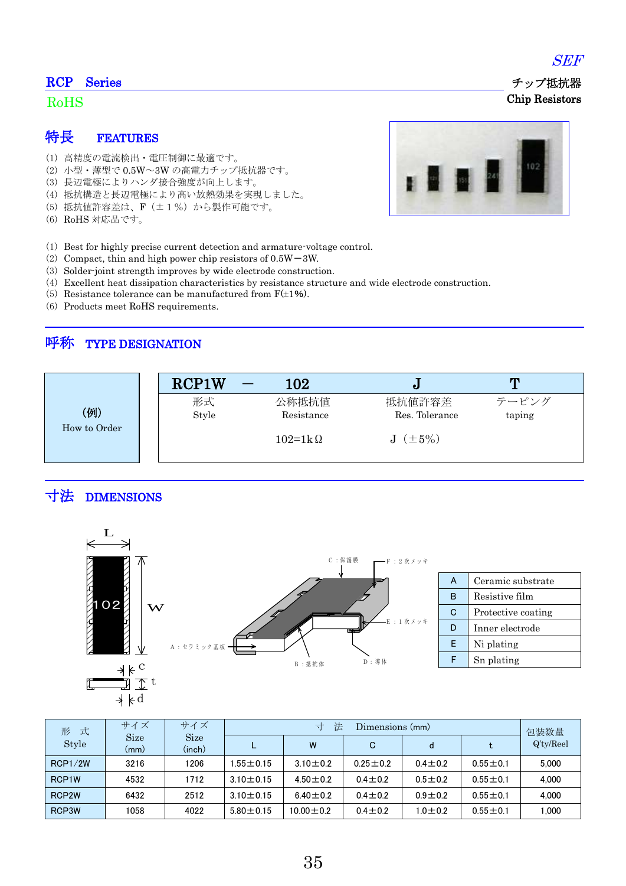#### RCP Series

#### RoHS

### 特長 FEATURES

- (1) 高精度の電流検出・電圧制御に最適です。
- (2) 小型・薄型で 0.5W~3W の高電力チップ抵抗器です。
- (3) 長辺電極によりハンダ接合強度が向上します。
- (4) 抵抗構造と長辺電極により高い放熱効果を実現しました。
- (5) 抵抗値許容差は、F(±1%)から製作可能です。
- (6) RoHS 対応品です。
- (1) Best for highly precise current detection and armature-voltage control.
- (2) Compact, thin and high power chip resistors of  $0.5W 3W$ .
- (3) Solder-joint strength improves by wide electrode construction.
- (4) Excellent heat dissipation characteristics by resistance structure and wide electrode construction.
- (5) Resistance tolerance can be manufactured from  $F(\pm 1\%)$ .
- (6) Products meet RoHS requirements.

### 呼称 TYPE DESIGNATION



## 寸法 DIMENSIONS



| 式<br>形<br>Style    | サイズ                 | サイズ                   | 法<br>ᆉ<br>Dimensions (mm) |                 |                |               |                | 包装数量      |
|--------------------|---------------------|-----------------------|---------------------------|-----------------|----------------|---------------|----------------|-----------|
|                    | <b>Size</b><br>(mm) | <b>Size</b><br>(inch) |                           | W               | C              | d             |                | Q'ty/Reel |
| RCP1/2W            | 3216                | 1206                  | $.55 \pm 0.15$            | $3.10 + 0.2$    | $0.25 \pm 0.2$ | $0.4 + 0.2$   | $0.55 \pm 0.1$ | 5.000     |
| RCP1W              | 4532                | 1712                  | $3.10 \pm 0.15$           | $4.50 \pm 0.2$  | $0.4 + 0.2$    | $0.5 + 0.2$   | $0.55 \pm 0.1$ | 4.000     |
| RCP <sub>2</sub> W | 6432                | 2512                  | $3.10 + 0.15$             | $6.40 \pm 0.2$  | $0.4 \pm 0.2$  | $0.9 + 0.2$   | $0.55 \pm 0.1$ | 4.000     |
| RCP3W              | 1058                | 4022                  | $5.80 \pm 0.15$           | $10.00 \pm 0.2$ | $0.4 \pm 0.2$  | $1.0 \pm 0.2$ | $0.55 \pm 0.1$ | 1.000     |





 チップ抵抗器 Chip Resistors